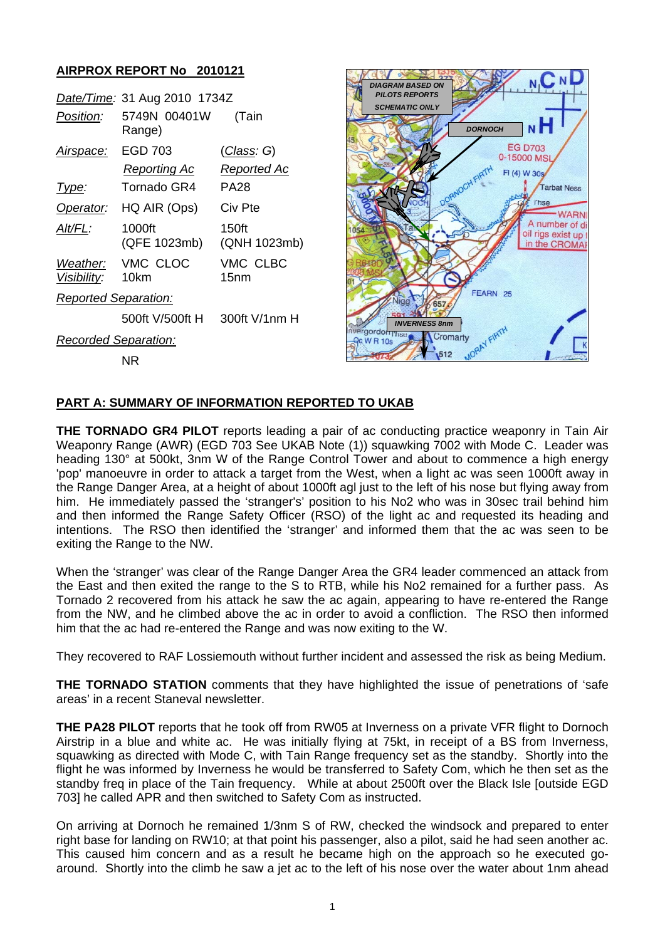## **AIRPROX REPORT No 2010121**

|                         | Date/Time: 31 Aug 2010 1734Z |                              |
|-------------------------|------------------------------|------------------------------|
| <i>Position:</i>        | 5749N 00401W<br>Range)       | (Tain                        |
| Airspace:               | EGD 703                      | <u>(Class</u> : G)           |
|                         | Reporting Ac                 | Reported Ac                  |
| Type:                   | Tornado GR4                  | PA28                         |
| Operator:               | HQ AIR (Ops)                 | Civ Pte                      |
| AIt/FL:                 | 1000ft<br>(QFE 1023mb)       | 150ft<br>(QNH 1023mb)        |
| Weather:<br>Visibility: | VMC CLOC<br>10km             | VMC CLBC<br>15 <sub>nm</sub> |
| Reported Separation:    |                              |                              |
|                         | 500ft V/500ft H              | 300ft V/1nm H                |
| Recorded Separation:    |                              |                              |
|                         | NR                           |                              |



## **PART A: SUMMARY OF INFORMATION REPORTED TO UKAB**

**THE TORNADO GR4 PILOT** reports leading a pair of ac conducting practice weaponry in Tain Air Weaponry Range (AWR) (EGD 703 See UKAB Note (1)) squawking 7002 with Mode C. Leader was heading 130° at 500kt, 3nm W of the Range Control Tower and about to commence a high energy 'pop' manoeuvre in order to attack a target from the West, when a light ac was seen 1000ft away in the Range Danger Area, at a height of about 1000ft agl just to the left of his nose but flying away from him. He immediately passed the 'stranger's' position to his No2 who was in 30sec trail behind him and then informed the Range Safety Officer (RSO) of the light ac and requested its heading and intentions. The RSO then identified the 'stranger' and informed them that the ac was seen to be exiting the Range to the NW.

When the 'stranger' was clear of the Range Danger Area the GR4 leader commenced an attack from the East and then exited the range to the S to RTB, while his No2 remained for a further pass. As Tornado 2 recovered from his attack he saw the ac again, appearing to have re-entered the Range from the NW, and he climbed above the ac in order to avoid a confliction. The RSO then informed him that the ac had re-entered the Range and was now exiting to the W.

They recovered to RAF Lossiemouth without further incident and assessed the risk as being Medium.

**THE TORNADO STATION** comments that they have highlighted the issue of penetrations of 'safe areas' in a recent Staneval newsletter.

**THE PA28 PILOT** reports that he took off from RW05 at Inverness on a private VFR flight to Dornoch Airstrip in a blue and white ac. He was initially flying at 75kt, in receipt of a BS from Inverness, squawking as directed with Mode C, with Tain Range frequency set as the standby. Shortly into the flight he was informed by Inverness he would be transferred to Safety Com, which he then set as the standby freq in place of the Tain frequency. While at about 2500ft over the Black Isle [outside EGD 703] he called APR and then switched to Safety Com as instructed.

On arriving at Dornoch he remained 1/3nm S of RW, checked the windsock and prepared to enter right base for landing on RW10; at that point his passenger, also a pilot, said he had seen another ac. This caused him concern and as a result he became high on the approach so he executed goaround. Shortly into the climb he saw a jet ac to the left of his nose over the water about 1nm ahead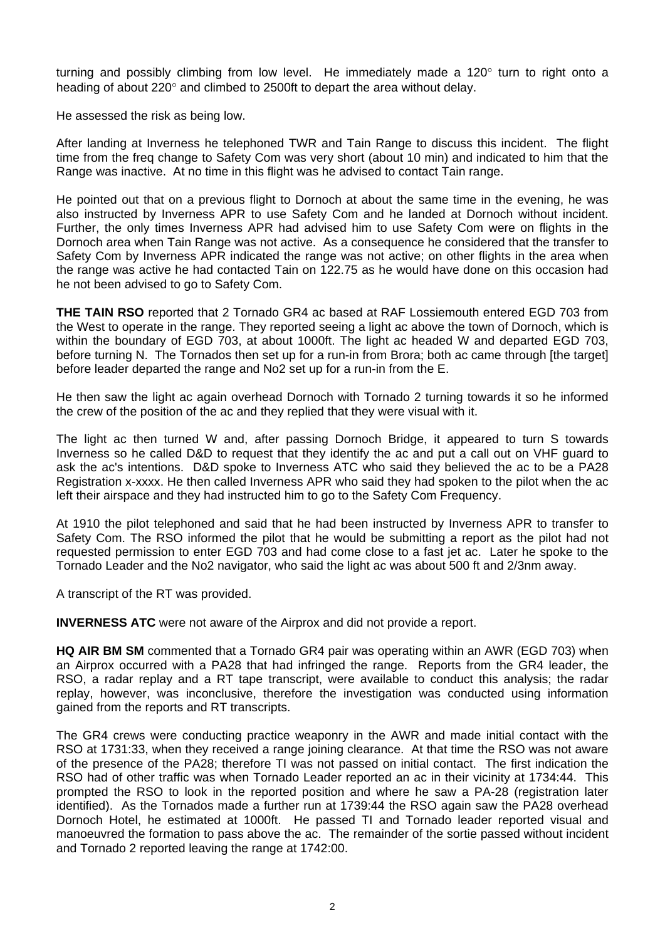turning and possibly climbing from low level. He immediately made a 120° turn to right onto a heading of about 220° and climbed to 2500ft to depart the area without delay.

He assessed the risk as being low.

After landing at Inverness he telephoned TWR and Tain Range to discuss this incident. The flight time from the freq change to Safety Com was very short (about 10 min) and indicated to him that the Range was inactive. At no time in this flight was he advised to contact Tain range.

He pointed out that on a previous flight to Dornoch at about the same time in the evening, he was also instructed by Inverness APR to use Safety Com and he landed at Dornoch without incident. Further, the only times Inverness APR had advised him to use Safety Com were on flights in the Dornoch area when Tain Range was not active. As a consequence he considered that the transfer to Safety Com by Inverness APR indicated the range was not active; on other flights in the area when the range was active he had contacted Tain on 122.75 as he would have done on this occasion had he not been advised to go to Safety Com.

**THE TAIN RSO** reported that 2 Tornado GR4 ac based at RAF Lossiemouth entered EGD 703 from the West to operate in the range. They reported seeing a light ac above the town of Dornoch, which is within the boundary of EGD 703, at about 1000ft. The light ac headed W and departed EGD 703, before turning N. The Tornados then set up for a run-in from Brora; both ac came through [the target] before leader departed the range and No2 set up for a run-in from the E.

He then saw the light ac again overhead Dornoch with Tornado 2 turning towards it so he informed the crew of the position of the ac and they replied that they were visual with it.

The light ac then turned W and, after passing Dornoch Bridge, it appeared to turn S towards Inverness so he called D&D to request that they identify the ac and put a call out on VHF guard to ask the ac's intentions. D&D spoke to Inverness ATC who said they believed the ac to be a PA28 Registration x-xxxx. He then called Inverness APR who said they had spoken to the pilot when the ac left their airspace and they had instructed him to go to the Safety Com Frequency.

At 1910 the pilot telephoned and said that he had been instructed by Inverness APR to transfer to Safety Com. The RSO informed the pilot that he would be submitting a report as the pilot had not requested permission to enter EGD 703 and had come close to a fast jet ac. Later he spoke to the Tornado Leader and the No2 navigator, who said the light ac was about 500 ft and 2/3nm away.

A transcript of the RT was provided.

**INVERNESS ATC** were not aware of the Airprox and did not provide a report.

**HQ AIR BM SM** commented that a Tornado GR4 pair was operating within an AWR (EGD 703) when an Airprox occurred with a PA28 that had infringed the range. Reports from the GR4 leader, the RSO, a radar replay and a RT tape transcript, were available to conduct this analysis; the radar replay, however, was inconclusive, therefore the investigation was conducted using information gained from the reports and RT transcripts.

The GR4 crews were conducting practice weaponry in the AWR and made initial contact with the RSO at 1731:33, when they received a range joining clearance. At that time the RSO was not aware of the presence of the PA28; therefore TI was not passed on initial contact. The first indication the RSO had of other traffic was when Tornado Leader reported an ac in their vicinity at 1734:44. This prompted the RSO to look in the reported position and where he saw a PA-28 (registration later identified). As the Tornados made a further run at 1739:44 the RSO again saw the PA28 overhead Dornoch Hotel, he estimated at 1000ft. He passed TI and Tornado leader reported visual and manoeuvred the formation to pass above the ac. The remainder of the sortie passed without incident and Tornado 2 reported leaving the range at 1742:00.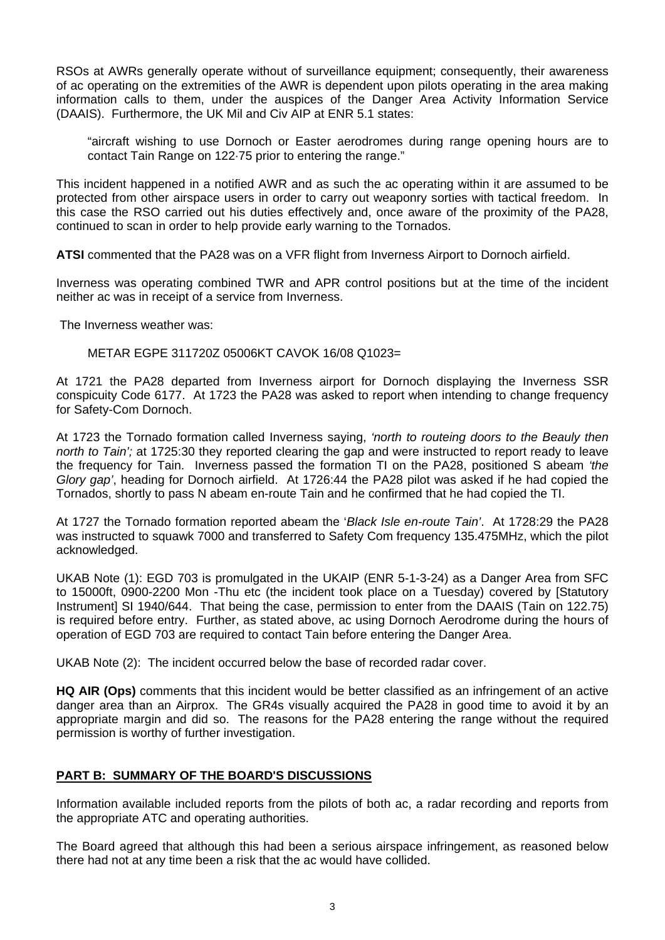RSOs at AWRs generally operate without of surveillance equipment; consequently, their awareness of ac operating on the extremities of the AWR is dependent upon pilots operating in the area making information calls to them, under the auspices of the Danger Area Activity Information Service (DAAIS). Furthermore, the UK Mil and Civ AIP at ENR 5.1 states:

"aircraft wishing to use Dornoch or Easter aerodromes during range opening hours are to contact Tain Range on 122·75 prior to entering the range."

This incident happened in a notified AWR and as such the ac operating within it are assumed to be protected from other airspace users in order to carry out weaponry sorties with tactical freedom. In this case the RSO carried out his duties effectively and, once aware of the proximity of the PA28, continued to scan in order to help provide early warning to the Tornados.

**ATSI** commented that the PA28 was on a VFR flight from Inverness Airport to Dornoch airfield.

Inverness was operating combined TWR and APR control positions but at the time of the incident neither ac was in receipt of a service from Inverness.

The Inverness weather was:

METAR EGPE 311720Z 05006KT CAVOK 16/08 Q1023=

At 1721 the PA28 departed from Inverness airport for Dornoch displaying the Inverness SSR conspicuity Code 6177. At 1723 the PA28 was asked to report when intending to change frequency for Safety-Com Dornoch.

At 1723 the Tornado formation called Inverness saying, *'north to routeing doors to the Beauly then north to Tain';* at 1725:30 they reported clearing the gap and were instructed to report ready to leave the frequency for Tain. Inverness passed the formation TI on the PA28, positioned S abeam *'the Glory gap'*, heading for Dornoch airfield. At 1726:44 the PA28 pilot was asked if he had copied the Tornados, shortly to pass N abeam en-route Tain and he confirmed that he had copied the TI.

At 1727 the Tornado formation reported abeam the '*Black Isle en-route Tain'*. At 1728:29 the PA28 was instructed to squawk 7000 and transferred to Safety Com frequency 135.475MHz, which the pilot acknowledged.

UKAB Note (1): EGD 703 is promulgated in the UKAIP (ENR 5-1-3-24) as a Danger Area from SFC to 15000ft, 0900-2200 Mon -Thu etc (the incident took place on a Tuesday) covered by [Statutory Instrument] SI 1940/644. That being the case, permission to enter from the DAAIS (Tain on 122.75) is required before entry. Further, as stated above, ac using Dornoch Aerodrome during the hours of operation of EGD 703 are required to contact Tain before entering the Danger Area.

UKAB Note (2): The incident occurred below the base of recorded radar cover.

**HQ AIR (Ops)** comments that this incident would be better classified as an infringement of an active danger area than an Airprox. The GR4s visually acquired the PA28 in good time to avoid it by an appropriate margin and did so. The reasons for the PA28 entering the range without the required permission is worthy of further investigation.

## **PART B: SUMMARY OF THE BOARD'S DISCUSSIONS**

Information available included reports from the pilots of both ac, a radar recording and reports from the appropriate ATC and operating authorities.

The Board agreed that although this had been a serious airspace infringement, as reasoned below there had not at any time been a risk that the ac would have collided.